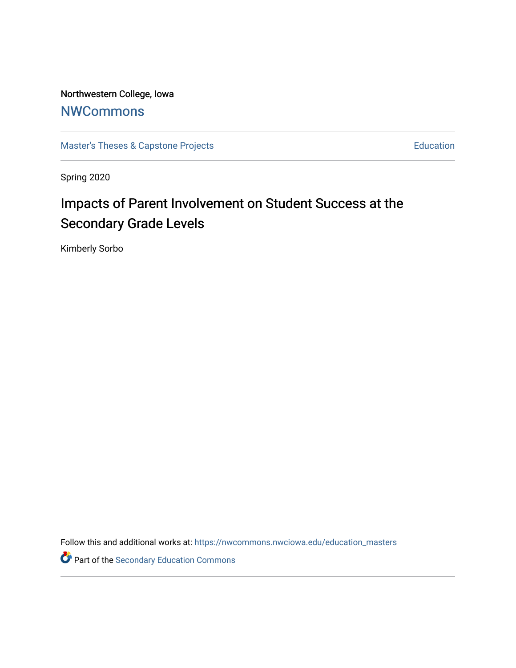Northwestern College, Iowa

## **[NWCommons](https://nwcommons.nwciowa.edu/)**

[Master's Theses & Capstone Projects](https://nwcommons.nwciowa.edu/education_masters) **Education** Education

Spring 2020

# Impacts of Parent Involvement on Student Success at the Secondary Grade Levels

Kimberly Sorbo

Follow this and additional works at: [https://nwcommons.nwciowa.edu/education\\_masters](https://nwcommons.nwciowa.edu/education_masters?utm_source=nwcommons.nwciowa.edu%2Feducation_masters%2F1&utm_medium=PDF&utm_campaign=PDFCoverPages)

Part of the [Secondary Education Commons](http://network.bepress.com/hgg/discipline/1382?utm_source=nwcommons.nwciowa.edu%2Feducation_masters%2F1&utm_medium=PDF&utm_campaign=PDFCoverPages)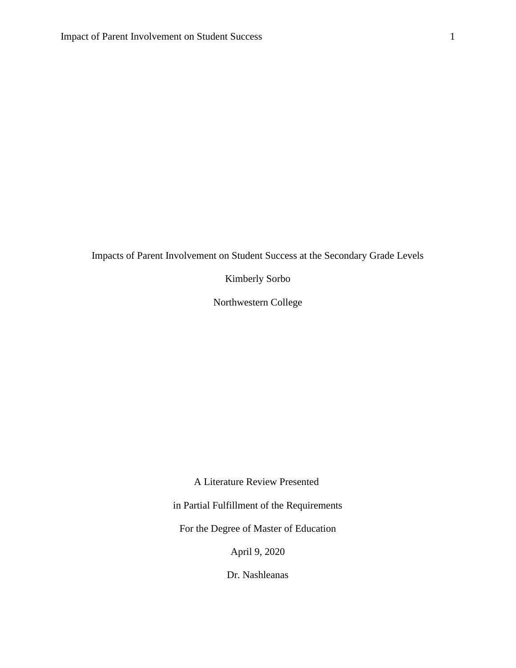Impacts of Parent Involvement on Student Success at the Secondary Grade Levels

Kimberly Sorbo

Northwestern College

A Literature Review Presented

in Partial Fulfillment of the Requirements

For the Degree of Master of Education

April 9, 2020

Dr. Nashleanas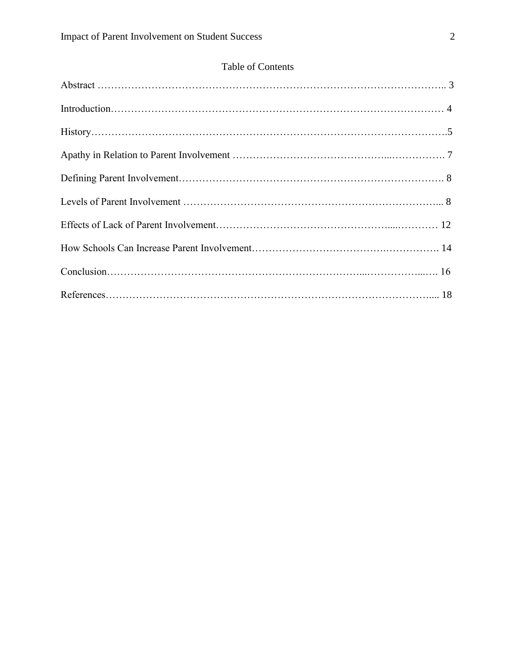### Table of Contents

| History. 155 |
|--------------|
|              |
|              |
|              |
|              |
|              |
|              |
|              |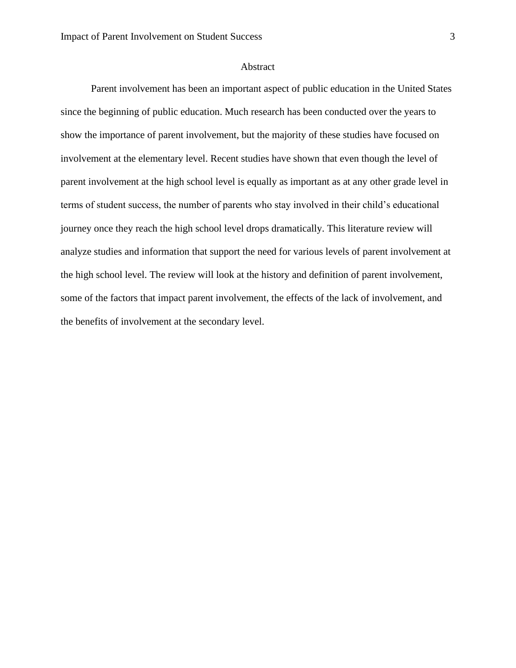#### Abstract

Parent involvement has been an important aspect of public education in the United States since the beginning of public education. Much research has been conducted over the years to show the importance of parent involvement, but the majority of these studies have focused on involvement at the elementary level. Recent studies have shown that even though the level of parent involvement at the high school level is equally as important as at any other grade level in terms of student success, the number of parents who stay involved in their child's educational journey once they reach the high school level drops dramatically. This literature review will analyze studies and information that support the need for various levels of parent involvement at the high school level. The review will look at the history and definition of parent involvement, some of the factors that impact parent involvement, the effects of the lack of involvement, and the benefits of involvement at the secondary level.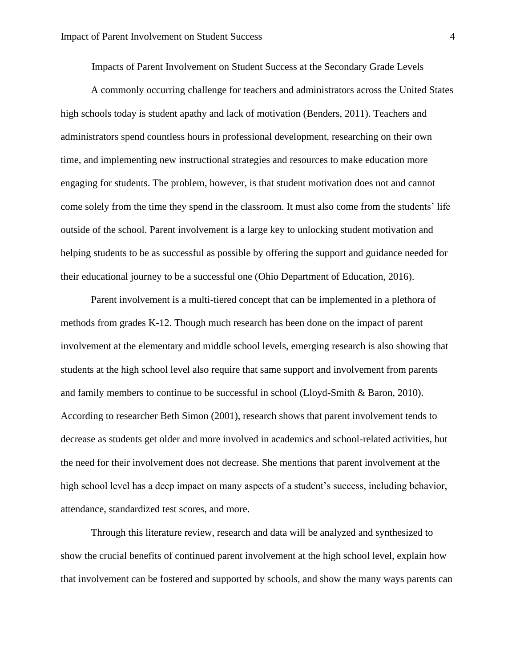Impacts of Parent Involvement on Student Success at the Secondary Grade Levels

A commonly occurring challenge for teachers and administrators across the United States high schools today is student apathy and lack of motivation (Benders, 2011). Teachers and administrators spend countless hours in professional development, researching on their own time, and implementing new instructional strategies and resources to make education more engaging for students. The problem, however, is that student motivation does not and cannot come solely from the time they spend in the classroom. It must also come from the students' life outside of the school. Parent involvement is a large key to unlocking student motivation and helping students to be as successful as possible by offering the support and guidance needed for their educational journey to be a successful one (Ohio Department of Education, 2016).

Parent involvement is a multi-tiered concept that can be implemented in a plethora of methods from grades K-12. Though much research has been done on the impact of parent involvement at the elementary and middle school levels, emerging research is also showing that students at the high school level also require that same support and involvement from parents and family members to continue to be successful in school (Lloyd-Smith & Baron, 2010). According to researcher Beth Simon (2001), research shows that parent involvement tends to decrease as students get older and more involved in academics and school-related activities, but the need for their involvement does not decrease. She mentions that parent involvement at the high school level has a deep impact on many aspects of a student's success, including behavior, attendance, standardized test scores, and more.

Through this literature review, research and data will be analyzed and synthesized to show the crucial benefits of continued parent involvement at the high school level, explain how that involvement can be fostered and supported by schools, and show the many ways parents can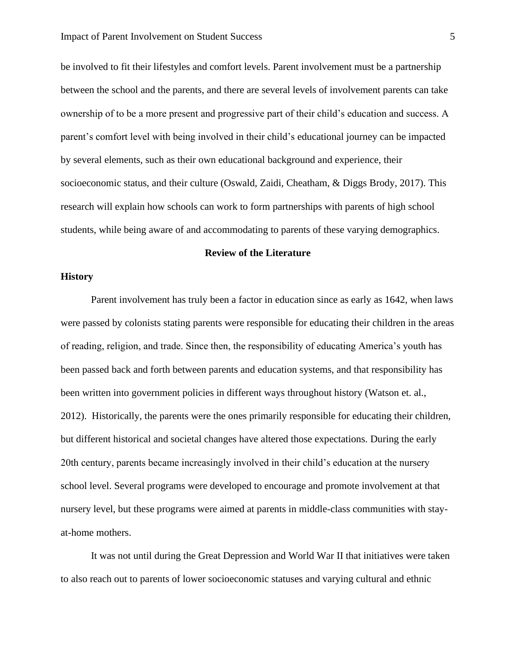be involved to fit their lifestyles and comfort levels. Parent involvement must be a partnership between the school and the parents, and there are several levels of involvement parents can take ownership of to be a more present and progressive part of their child's education and success. A parent's comfort level with being involved in their child's educational journey can be impacted by several elements, such as their own educational background and experience, their socioeconomic status, and their culture (Oswald, Zaidi, Cheatham, & Diggs Brody, 2017). This research will explain how schools can work to form partnerships with parents of high school students, while being aware of and accommodating to parents of these varying demographics.

#### **Review of the Literature**

#### **History**

Parent involvement has truly been a factor in education since as early as 1642, when laws were passed by colonists stating parents were responsible for educating their children in the areas of reading, religion, and trade. Since then, the responsibility of educating America's youth has been passed back and forth between parents and education systems, and that responsibility has been written into government policies in different ways throughout history (Watson et. al., 2012). Historically, the parents were the ones primarily responsible for educating their children, but different historical and societal changes have altered those expectations. During the early 20th century, parents became increasingly involved in their child's education at the nursery school level. Several programs were developed to encourage and promote involvement at that nursery level, but these programs were aimed at parents in middle-class communities with stayat-home mothers.

It was not until during the Great Depression and World War II that initiatives were taken to also reach out to parents of lower socioeconomic statuses and varying cultural and ethnic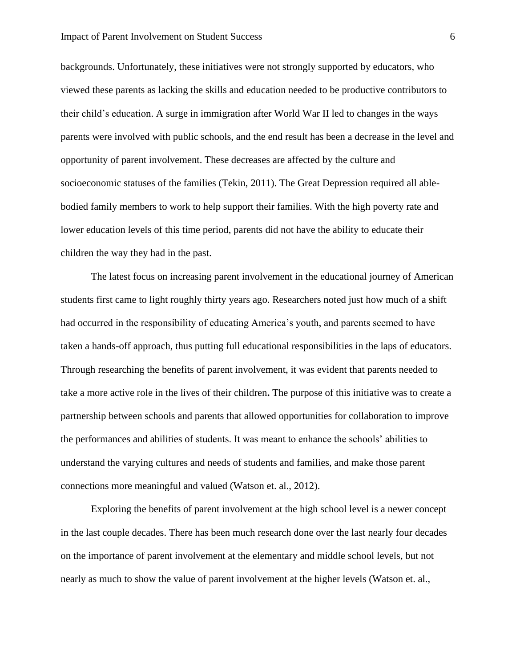backgrounds. Unfortunately, these initiatives were not strongly supported by educators, who viewed these parents as lacking the skills and education needed to be productive contributors to their child's education. A surge in immigration after World War II led to changes in the ways parents were involved with public schools, and the end result has been a decrease in the level and opportunity of parent involvement. These decreases are affected by the culture and socioeconomic statuses of the families (Tekin, 2011). The Great Depression required all ablebodied family members to work to help support their families. With the high poverty rate and lower education levels of this time period, parents did not have the ability to educate their children the way they had in the past.

The latest focus on increasing parent involvement in the educational journey of American students first came to light roughly thirty years ago. Researchers noted just how much of a shift had occurred in the responsibility of educating America's youth, and parents seemed to have taken a hands-off approach, thus putting full educational responsibilities in the laps of educators. Through researching the benefits of parent involvement, it was evident that parents needed to take a more active role in the lives of their children**.** The purpose of this initiative was to create a partnership between schools and parents that allowed opportunities for collaboration to improve the performances and abilities of students. It was meant to enhance the schools' abilities to understand the varying cultures and needs of students and families, and make those parent connections more meaningful and valued (Watson et. al., 2012).

Exploring the benefits of parent involvement at the high school level is a newer concept in the last couple decades. There has been much research done over the last nearly four decades on the importance of parent involvement at the elementary and middle school levels, but not nearly as much to show the value of parent involvement at the higher levels (Watson et. al.,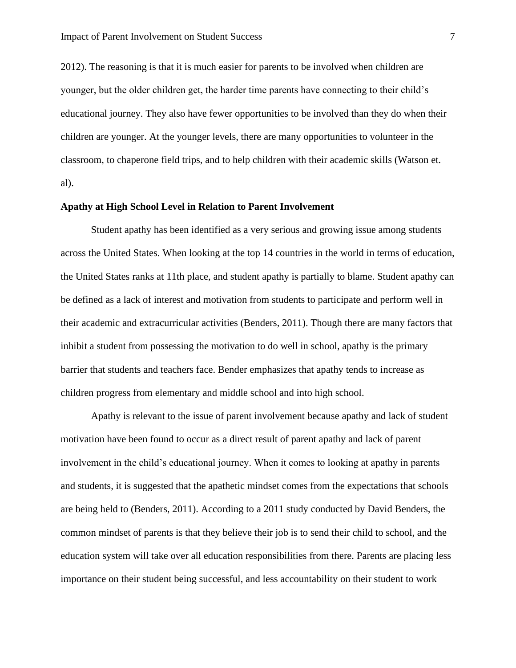2012). The reasoning is that it is much easier for parents to be involved when children are younger, but the older children get, the harder time parents have connecting to their child's educational journey. They also have fewer opportunities to be involved than they do when their children are younger. At the younger levels, there are many opportunities to volunteer in the classroom, to chaperone field trips, and to help children with their academic skills (Watson et. al).

#### **Apathy at High School Level in Relation to Parent Involvement**

Student apathy has been identified as a very serious and growing issue among students across the United States. When looking at the top 14 countries in the world in terms of education, the United States ranks at 11th place, and student apathy is partially to blame. Student apathy can be defined as a lack of interest and motivation from students to participate and perform well in their academic and extracurricular activities (Benders, 2011). Though there are many factors that inhibit a student from possessing the motivation to do well in school, apathy is the primary barrier that students and teachers face. Bender emphasizes that apathy tends to increase as children progress from elementary and middle school and into high school.

Apathy is relevant to the issue of parent involvement because apathy and lack of student motivation have been found to occur as a direct result of parent apathy and lack of parent involvement in the child's educational journey. When it comes to looking at apathy in parents and students, it is suggested that the apathetic mindset comes from the expectations that schools are being held to (Benders, 2011). According to a 2011 study conducted by David Benders, the common mindset of parents is that they believe their job is to send their child to school, and the education system will take over all education responsibilities from there. Parents are placing less importance on their student being successful, and less accountability on their student to work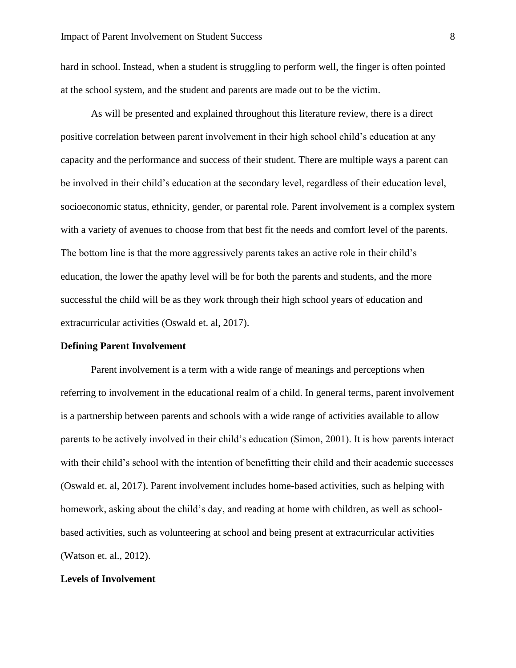hard in school. Instead, when a student is struggling to perform well, the finger is often pointed at the school system, and the student and parents are made out to be the victim.

As will be presented and explained throughout this literature review, there is a direct positive correlation between parent involvement in their high school child's education at any capacity and the performance and success of their student. There are multiple ways a parent can be involved in their child's education at the secondary level, regardless of their education level, socioeconomic status, ethnicity, gender, or parental role. Parent involvement is a complex system with a variety of avenues to choose from that best fit the needs and comfort level of the parents. The bottom line is that the more aggressively parents takes an active role in their child's education, the lower the apathy level will be for both the parents and students, and the more successful the child will be as they work through their high school years of education and extracurricular activities (Oswald et. al, 2017).

#### **Defining Parent Involvement**

Parent involvement is a term with a wide range of meanings and perceptions when referring to involvement in the educational realm of a child. In general terms, parent involvement is a partnership between parents and schools with a wide range of activities available to allow parents to be actively involved in their child's education (Simon, 2001). It is how parents interact with their child's school with the intention of benefitting their child and their academic successes (Oswald et. al, 2017). Parent involvement includes home-based activities, such as helping with homework, asking about the child's day, and reading at home with children, as well as schoolbased activities, such as volunteering at school and being present at extracurricular activities (Watson et. al., 2012).

#### **Levels of Involvement**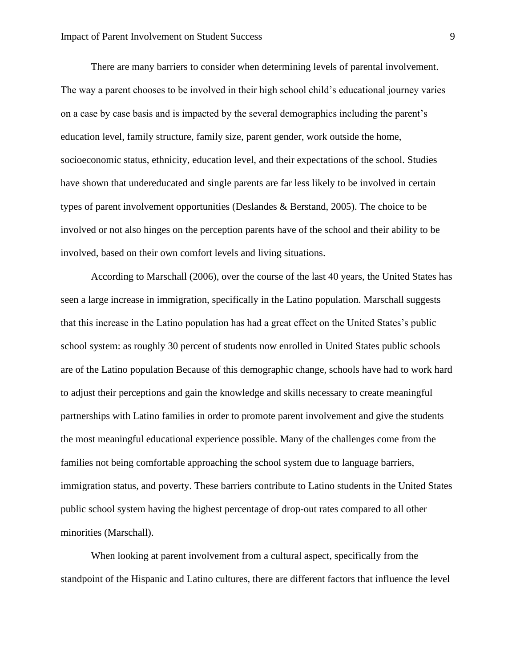There are many barriers to consider when determining levels of parental involvement. The way a parent chooses to be involved in their high school child's educational journey varies on a case by case basis and is impacted by the several demographics including the parent's education level, family structure, family size, parent gender, work outside the home, socioeconomic status, ethnicity, education level, and their expectations of the school. Studies have shown that undereducated and single parents are far less likely to be involved in certain types of parent involvement opportunities (Deslandes & Berstand, 2005). The choice to be involved or not also hinges on the perception parents have of the school and their ability to be involved, based on their own comfort levels and living situations.

According to Marschall (2006), over the course of the last 40 years, the United States has seen a large increase in immigration, specifically in the Latino population. Marschall suggests that this increase in the Latino population has had a great effect on the United States's public school system: as roughly 30 percent of students now enrolled in United States public schools are of the Latino population Because of this demographic change, schools have had to work hard to adjust their perceptions and gain the knowledge and skills necessary to create meaningful partnerships with Latino families in order to promote parent involvement and give the students the most meaningful educational experience possible. Many of the challenges come from the families not being comfortable approaching the school system due to language barriers, immigration status, and poverty. These barriers contribute to Latino students in the United States public school system having the highest percentage of drop-out rates compared to all other minorities (Marschall).

When looking at parent involvement from a cultural aspect, specifically from the standpoint of the Hispanic and Latino cultures, there are different factors that influence the level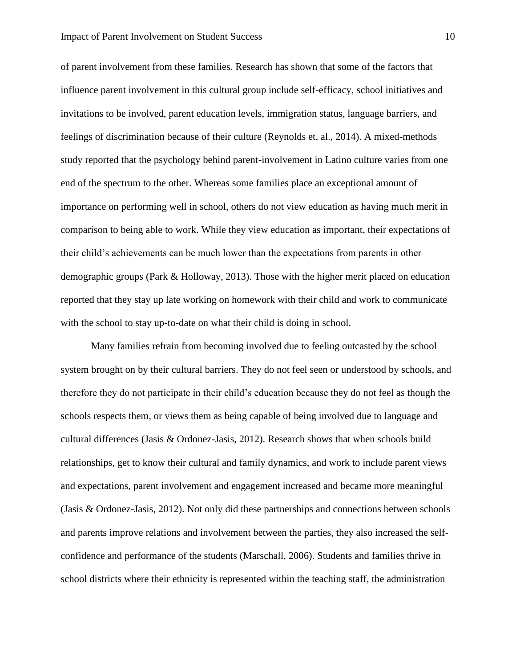of parent involvement from these families. Research has shown that some of the factors that influence parent involvement in this cultural group include self-efficacy, school initiatives and invitations to be involved, parent education levels, immigration status, language barriers, and feelings of discrimination because of their culture (Reynolds et. al., 2014). A mixed-methods study reported that the psychology behind parent-involvement in Latino culture varies from one end of the spectrum to the other. Whereas some families place an exceptional amount of importance on performing well in school, others do not view education as having much merit in comparison to being able to work. While they view education as important, their expectations of their child's achievements can be much lower than the expectations from parents in other demographic groups (Park & Holloway, 2013). Those with the higher merit placed on education reported that they stay up late working on homework with their child and work to communicate with the school to stay up-to-date on what their child is doing in school.

Many families refrain from becoming involved due to feeling outcasted by the school system brought on by their cultural barriers. They do not feel seen or understood by schools, and therefore they do not participate in their child's education because they do not feel as though the schools respects them, or views them as being capable of being involved due to language and cultural differences (Jasis & Ordonez-Jasis, 2012). Research shows that when schools build relationships, get to know their cultural and family dynamics, and work to include parent views and expectations, parent involvement and engagement increased and became more meaningful (Jasis & Ordonez-Jasis, 2012). Not only did these partnerships and connections between schools and parents improve relations and involvement between the parties, they also increased the selfconfidence and performance of the students (Marschall, 2006). Students and families thrive in school districts where their ethnicity is represented within the teaching staff, the administration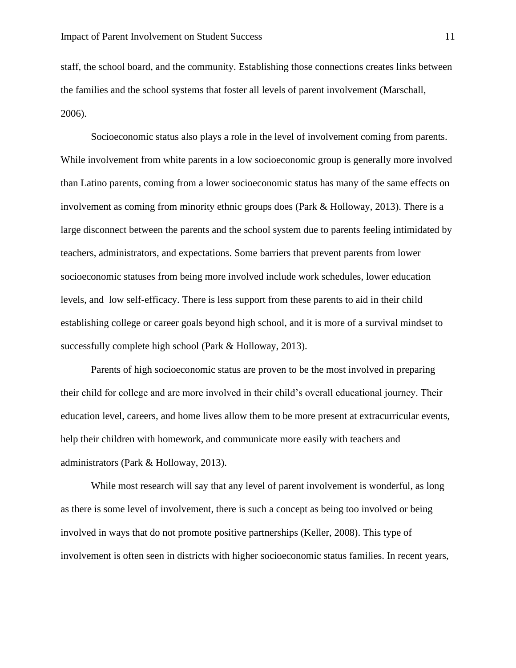staff, the school board, and the community. Establishing those connections creates links between the families and the school systems that foster all levels of parent involvement (Marschall, 2006).

Socioeconomic status also plays a role in the level of involvement coming from parents. While involvement from white parents in a low socioeconomic group is generally more involved than Latino parents, coming from a lower socioeconomic status has many of the same effects on involvement as coming from minority ethnic groups does (Park & Holloway, 2013). There is a large disconnect between the parents and the school system due to parents feeling intimidated by teachers, administrators, and expectations. Some barriers that prevent parents from lower socioeconomic statuses from being more involved include work schedules, lower education levels, and low self-efficacy. There is less support from these parents to aid in their child establishing college or career goals beyond high school, and it is more of a survival mindset to successfully complete high school (Park & Holloway, 2013).

Parents of high socioeconomic status are proven to be the most involved in preparing their child for college and are more involved in their child's overall educational journey. Their education level, careers, and home lives allow them to be more present at extracurricular events, help their children with homework, and communicate more easily with teachers and administrators (Park & Holloway, 2013).

While most research will say that any level of parent involvement is wonderful, as long as there is some level of involvement, there is such a concept as being too involved or being involved in ways that do not promote positive partnerships (Keller, 2008). This type of involvement is often seen in districts with higher socioeconomic status families. In recent years,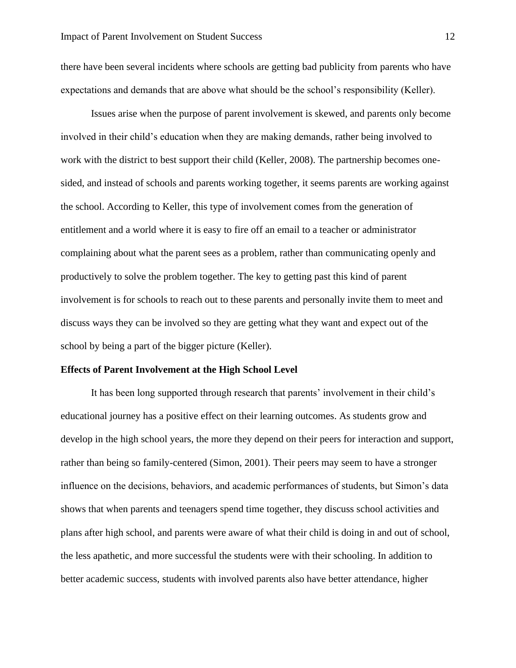there have been several incidents where schools are getting bad publicity from parents who have expectations and demands that are above what should be the school's responsibility (Keller).

Issues arise when the purpose of parent involvement is skewed, and parents only become involved in their child's education when they are making demands, rather being involved to work with the district to best support their child (Keller, 2008). The partnership becomes onesided, and instead of schools and parents working together, it seems parents are working against the school. According to Keller, this type of involvement comes from the generation of entitlement and a world where it is easy to fire off an email to a teacher or administrator complaining about what the parent sees as a problem, rather than communicating openly and productively to solve the problem together. The key to getting past this kind of parent involvement is for schools to reach out to these parents and personally invite them to meet and discuss ways they can be involved so they are getting what they want and expect out of the school by being a part of the bigger picture (Keller).

#### **Effects of Parent Involvement at the High School Level**

It has been long supported through research that parents' involvement in their child's educational journey has a positive effect on their learning outcomes. As students grow and develop in the high school years, the more they depend on their peers for interaction and support, rather than being so family-centered (Simon, 2001). Their peers may seem to have a stronger influence on the decisions, behaviors, and academic performances of students, but Simon's data shows that when parents and teenagers spend time together, they discuss school activities and plans after high school, and parents were aware of what their child is doing in and out of school, the less apathetic, and more successful the students were with their schooling. In addition to better academic success, students with involved parents also have better attendance, higher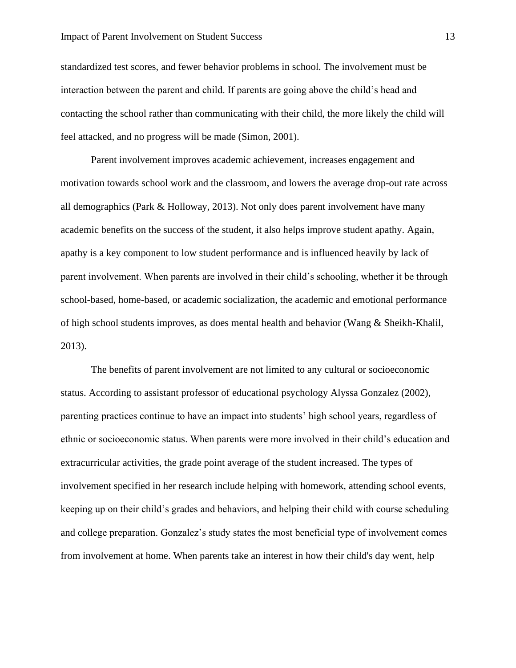standardized test scores, and fewer behavior problems in school. The involvement must be interaction between the parent and child. If parents are going above the child's head and contacting the school rather than communicating with their child, the more likely the child will feel attacked, and no progress will be made (Simon, 2001).

Parent involvement improves academic achievement, increases engagement and motivation towards school work and the classroom, and lowers the average drop-out rate across all demographics (Park & Holloway, 2013). Not only does parent involvement have many academic benefits on the success of the student, it also helps improve student apathy. Again, apathy is a key component to low student performance and is influenced heavily by lack of parent involvement. When parents are involved in their child's schooling, whether it be through school-based, home-based, or academic socialization, the academic and emotional performance of high school students improves, as does mental health and behavior (Wang & Sheikh-Khalil, 2013).

The benefits of parent involvement are not limited to any cultural or socioeconomic status. According to assistant professor of educational psychology Alyssa Gonzalez (2002), parenting practices continue to have an impact into students' high school years, regardless of ethnic or socioeconomic status. When parents were more involved in their child's education and extracurricular activities, the grade point average of the student increased. The types of involvement specified in her research include helping with homework, attending school events, keeping up on their child's grades and behaviors, and helping their child with course scheduling and college preparation. Gonzalez's study states the most beneficial type of involvement comes from involvement at home. When parents take an interest in how their child's day went, help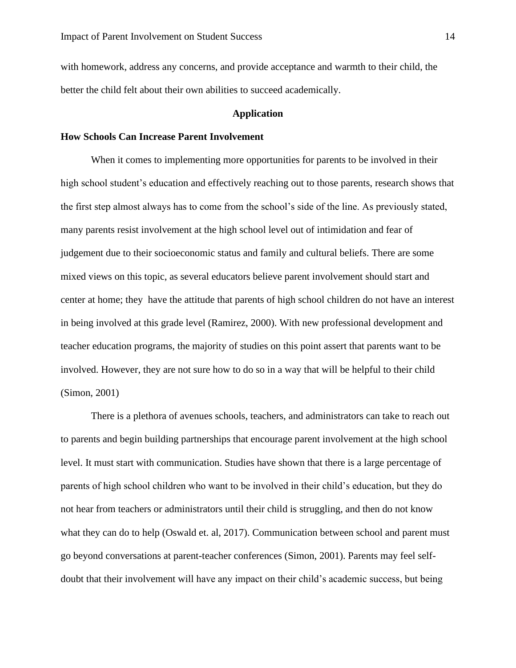with homework, address any concerns, and provide acceptance and warmth to their child, the better the child felt about their own abilities to succeed academically.

#### **Application**

#### **How Schools Can Increase Parent Involvement**

When it comes to implementing more opportunities for parents to be involved in their high school student's education and effectively reaching out to those parents, research shows that the first step almost always has to come from the school's side of the line. As previously stated, many parents resist involvement at the high school level out of intimidation and fear of judgement due to their socioeconomic status and family and cultural beliefs. There are some mixed views on this topic, as several educators believe parent involvement should start and center at home; they have the attitude that parents of high school children do not have an interest in being involved at this grade level (Ramirez, 2000). With new professional development and teacher education programs, the majority of studies on this point assert that parents want to be involved. However, they are not sure how to do so in a way that will be helpful to their child (Simon, 2001)

There is a plethora of avenues schools, teachers, and administrators can take to reach out to parents and begin building partnerships that encourage parent involvement at the high school level. It must start with communication. Studies have shown that there is a large percentage of parents of high school children who want to be involved in their child's education, but they do not hear from teachers or administrators until their child is struggling, and then do not know what they can do to help (Oswald et. al, 2017). Communication between school and parent must go beyond conversations at parent-teacher conferences (Simon, 2001). Parents may feel selfdoubt that their involvement will have any impact on their child's academic success, but being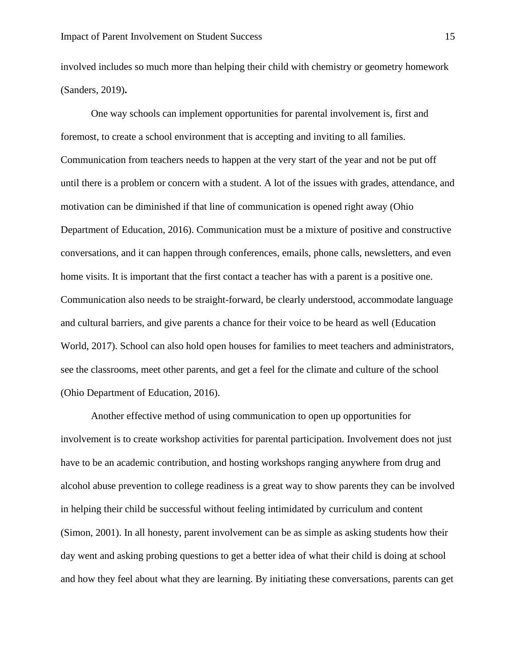involved includes so much more than helping their child with chemistry or geometry homework (Sanders, 2019)**.**

One way schools can implement opportunities for parental involvement is, first and foremost, to create a school environment that is accepting and inviting to all families. Communication from teachers needs to happen at the very start of the year and not be put off until there is a problem or concern with a student. A lot of the issues with grades, attendance, and motivation can be diminished if that line of communication is opened right away (Ohio Department of Education, 2016). Communication must be a mixture of positive and constructive conversations, and it can happen through conferences, emails, phone calls, newsletters, and even home visits. It is important that the first contact a teacher has with a parent is a positive one. Communication also needs to be straight-forward, be clearly understood, accommodate language and cultural barriers, and give parents a chance for their voice to be heard as well (Education World, 2017). School can also hold open houses for families to meet teachers and administrators, see the classrooms, meet other parents, and get a feel for the climate and culture of the school (Ohio Department of Education, 2016).

Another effective method of using communication to open up opportunities for involvement is to create workshop activities for parental participation. Involvement does not just have to be an academic contribution, and hosting workshops ranging anywhere from drug and alcohol abuse prevention to college readiness is a great way to show parents they can be involved in helping their child be successful without feeling intimidated by curriculum and content (Simon, 2001). In all honesty, parent involvement can be as simple as asking students how their day went and asking probing questions to get a better idea of what their child is doing at school and how they feel about what they are learning. By initiating these conversations, parents can get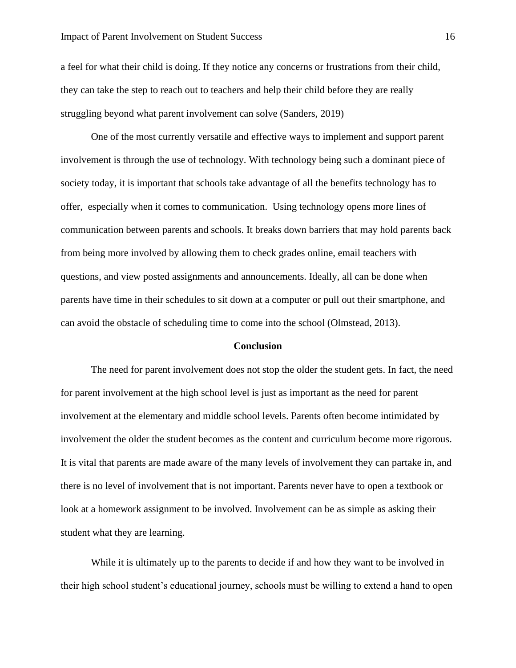a feel for what their child is doing. If they notice any concerns or frustrations from their child, they can take the step to reach out to teachers and help their child before they are really struggling beyond what parent involvement can solve (Sanders, 2019)

One of the most currently versatile and effective ways to implement and support parent involvement is through the use of technology. With technology being such a dominant piece of society today, it is important that schools take advantage of all the benefits technology has to offer, especially when it comes to communication. Using technology opens more lines of communication between parents and schools. It breaks down barriers that may hold parents back from being more involved by allowing them to check grades online, email teachers with questions, and view posted assignments and announcements. Ideally, all can be done when parents have time in their schedules to sit down at a computer or pull out their smartphone, and can avoid the obstacle of scheduling time to come into the school (Olmstead, 2013).

#### **Conclusion**

The need for parent involvement does not stop the older the student gets. In fact, the need for parent involvement at the high school level is just as important as the need for parent involvement at the elementary and middle school levels. Parents often become intimidated by involvement the older the student becomes as the content and curriculum become more rigorous. It is vital that parents are made aware of the many levels of involvement they can partake in, and there is no level of involvement that is not important. Parents never have to open a textbook or look at a homework assignment to be involved. Involvement can be as simple as asking their student what they are learning.

While it is ultimately up to the parents to decide if and how they want to be involved in their high school student's educational journey, schools must be willing to extend a hand to open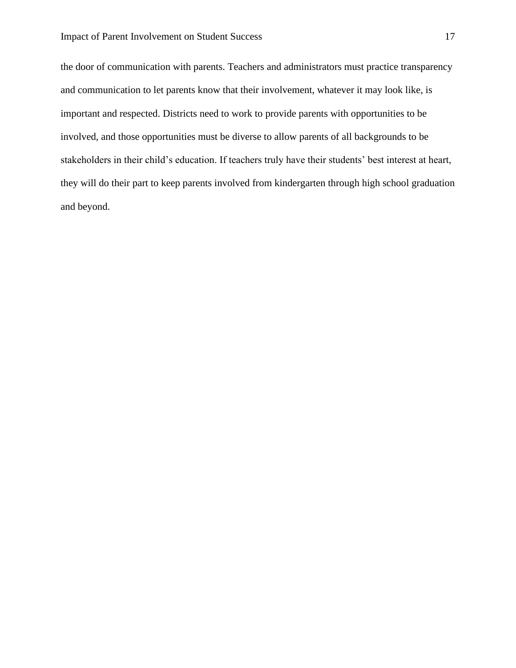the door of communication with parents. Teachers and administrators must practice transparency and communication to let parents know that their involvement, whatever it may look like, is important and respected. Districts need to work to provide parents with opportunities to be involved, and those opportunities must be diverse to allow parents of all backgrounds to be stakeholders in their child's education. If teachers truly have their students' best interest at heart, they will do their part to keep parents involved from kindergarten through high school graduation and beyond.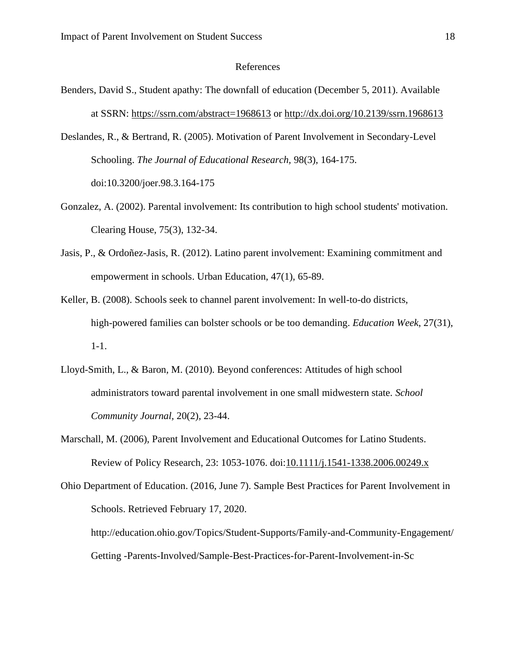#### References

- Benders, David S., Student apathy: The downfall of education (December 5, 2011). Available at SSRN:<https://ssrn.com/abstract=1968613> or [http://dx.doi.org/10.2139/ssrn.1968613](https://dx.doi.org/10.2139/ssrn.1968613)
- Deslandes, R., & Bertrand, R. (2005). Motivation of Parent Involvement in Secondary-Level Schooling. *The Journal of Educational Research,* 98(3), 164-175. doi:10.3200/joer.98.3.164-175
- Gonzalez, A. (2002). Parental involvement: Its contribution to high school students' motivation. Clearing House, 75(3), 132-34.
- Jasis, P., & Ordoñez-Jasis, R. (2012). Latino parent involvement: Examining commitment and empowerment in schools. Urban Education, 47(1), 65-89.
- Keller, B. (2008). Schools seek to channel parent involvement: In well-to-do districts, high-powered families can bolster schools or be too demanding. *Education Week*, 27(31), 1-1.
- Lloyd-Smith, L., & Baron, M. (2010). Beyond conferences: Attitudes of high school administrators toward parental involvement in one small midwestern state. *School Community Journal,* 20(2), 23-44.
- Marschall, M. (2006), Parent Involvement and Educational Outcomes for Latino Students. Review of Policy Research, 23: 1053-1076. doi[:10.1111/j.1541-1338.2006.00249.x](https://doi.org/10.1111/j.1541-1338.2006.00249.x)
- Ohio Department of Education. (2016, June 7). Sample Best Practices for Parent Involvement in Schools. Retrieved February 17, 2020.

http://education.ohio.gov/Topics/Student-Supports/Family-and-Community-Engagement/ Getting -Parents-Involved/Sample-Best-Practices-for-Parent-Involvement-in-Sc